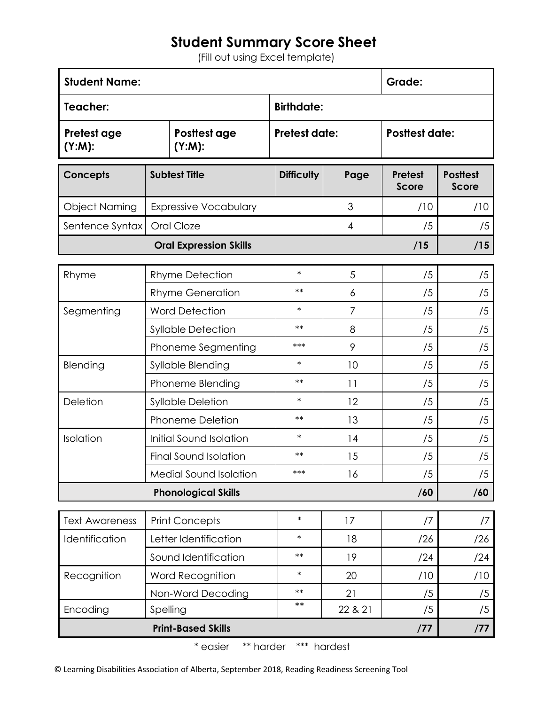## **Student Summary Score Sheet**

(Fill out using Excel template)

| <b>Student Name:</b>              |                               |                              |                      |         | Grade:                         |                                 |
|-----------------------------------|-------------------------------|------------------------------|----------------------|---------|--------------------------------|---------------------------------|
| Teacher:                          |                               | <b>Birthdate:</b>            |                      |         |                                |                                 |
| Pretest age<br>(Y:M):             |                               | Posttest age<br>$(Y:M)$ :    | <b>Pretest date:</b> |         | <b>Posttest date:</b>          |                                 |
| <b>Concepts</b>                   | <b>Subtest Title</b>          |                              | <b>Difficulty</b>    | Page    | <b>Pretest</b><br><b>Score</b> | <b>Posttest</b><br><b>Score</b> |
| <b>Object Naming</b>              |                               | <b>Expressive Vocabulary</b> |                      | 3       | /10                            | /10                             |
| Sentence Syntax                   |                               | Oral Cloze                   |                      | 4       | /5                             | /5                              |
| <b>Oral Expression Skills</b>     |                               |                              |                      |         | /15                            | /15                             |
| Rhyme                             | <b>Rhyme Detection</b>        |                              | $\ast$               | 5       | /5                             | /5                              |
|                                   | <b>Rhyme Generation</b>       |                              | $***$                | 6       | /5                             | /5                              |
| Segmenting                        | <b>Word Detection</b>         |                              | $\ast$               | 7       | /5                             | /5                              |
|                                   | <b>Syllable Detection</b>     |                              | $***$                | 8       | /5                             | /5                              |
|                                   | Phoneme Segmenting            |                              | $***$                | 9       | /5                             | /5                              |
| Blending                          | Syllable Blending             |                              | $\ast$               | 10      | /5                             | /5                              |
|                                   | Phoneme Blending              |                              | $***$                | 11      | /5                             | /5                              |
| Deletion                          | <b>Syllable Deletion</b>      |                              | $\ast$               | 12      | /5                             | /5                              |
|                                   | <b>Phoneme Deletion</b>       |                              | $***$                | 13      | /5                             | /5                              |
| Isolation                         | Initial Sound Isolation       |                              | $\ast$               | 14      | /5                             | /5                              |
|                                   | Final Sound Isolation         |                              | $**$                 | 15      | /5                             | /5                              |
|                                   | <b>Medial Sound Isolation</b> |                              | $***$                | 16      | /5                             | /5                              |
| <b>Phonological Skills</b><br>/60 |                               |                              |                      |         |                                | /60                             |
| <b>Text Awareness</b>             | <b>Print Concepts</b>         |                              | $\ast$               | 17      | /7                             | /7                              |
| Identification                    | Letter Identification         |                              | $\ast$               | 18      | /26                            | /26                             |
|                                   | Sound Identification          |                              | $***$                | 19      | /24                            | /24                             |
| Recognition                       | Word Recognition              |                              | $\ast$               | 20      | /10                            | /10                             |
|                                   |                               | Non-Word Decoding            | $***$                | 21      | /5                             | /5                              |
| Encoding                          | Spelling                      |                              | $***$                | 22 & 21 | /5                             | /5                              |
| <b>Print-Based Skills</b><br>/77  |                               |                              |                      |         |                                | /77                             |

\* easier \*\* harder \*\*\* hardest